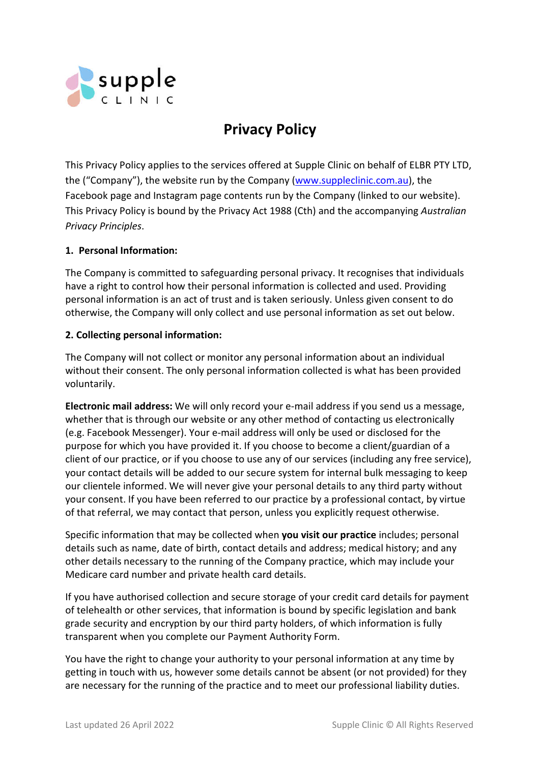

# **Privacy Policy**

This Privacy Policy applies to the services offered at Supple Clinic on behalf of ELBR PTY LTD, the ("Company"), the website run by the Company (www.suppleclinic.com.au), the Facebook page and Instagram page contents run by the Company (linked to our website). This Privacy Policy is bound by the Privacy Act 1988 (Cth) and the accompanying *Australian Privacy Principles*.

## **1. Personal Information:**

The Company is committed to safeguarding personal privacy. It recognises that individuals have a right to control how their personal information is collected and used. Providing personal information is an act of trust and is taken seriously. Unless given consent to do otherwise, the Company will only collect and use personal information as set out below.

## **2. Collecting personal information:**

The Company will not collect or monitor any personal information about an individual without their consent. The only personal information collected is what has been provided voluntarily.

**Electronic mail address:** We will only record your e-mail address if you send us a message, whether that is through our website or any other method of contacting us electronically (e.g. Facebook Messenger). Your e-mail address will only be used or disclosed for the purpose for which you have provided it. If you choose to become a client/guardian of a client of our practice, or if you choose to use any of our services (including any free service), your contact details will be added to our secure system for internal bulk messaging to keep our clientele informed. We will never give your personal details to any third party without your consent. If you have been referred to our practice by a professional contact, by virtue of that referral, we may contact that person, unless you explicitly request otherwise.

Specific information that may be collected when **you visit our practice** includes; personal details such as name, date of birth, contact details and address; medical history; and any other details necessary to the running of the Company practice, which may include your Medicare card number and private health card details.

If you have authorised collection and secure storage of your credit card details for payment of telehealth or other services, that information is bound by specific legislation and bank grade security and encryption by our third party holders, of which information is fully transparent when you complete our Payment Authority Form.

You have the right to change your authority to your personal information at any time by getting in touch with us, however some details cannot be absent (or not provided) for they are necessary for the running of the practice and to meet our professional liability duties.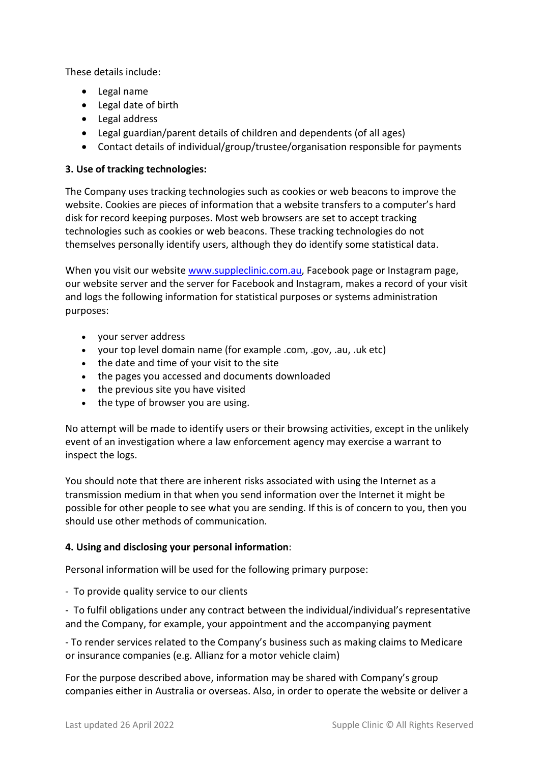These details include:

- Legal name
- Legal date of birth
- Legal address
- Legal guardian/parent details of children and dependents (of all ages)
- Contact details of individual/group/trustee/organisation responsible for payments

#### **3. Use of tracking technologies:**

The Company uses tracking technologies such as cookies or web beacons to improve the website. Cookies are pieces of information that a website transfers to a computer's hard disk for record keeping purposes. Most web browsers are set to accept tracking technologies such as cookies or web beacons. These tracking technologies do not themselves personally identify users, although they do identify some statistical data.

When you visit our website www.suppleclinic.com.au, Facebook page or Instagram page, our website server and the server for Facebook and Instagram, makes a record of your visit and logs the following information for statistical purposes or systems administration purposes:

- your server address
- your top level domain name (for example .com, .gov, .au, .uk etc)
- the date and time of your visit to the site
- the pages you accessed and documents downloaded
- the previous site you have visited
- $\bullet$  the type of browser you are using.

No attempt will be made to identify users or their browsing activities, except in the unlikely event of an investigation where a law enforcement agency may exercise a warrant to inspect the logs.

You should note that there are inherent risks associated with using the Internet as a transmission medium in that when you send information over the Internet it might be possible for other people to see what you are sending. If this is of concern to you, then you should use other methods of communication.

#### **4. Using and disclosing your personal information**:

Personal information will be used for the following primary purpose:

- To provide quality service to our clients

- To fulfil obligations under any contract between the individual/individual's representative and the Company, for example, your appointment and the accompanying payment

- To render services related to the Company's business such as making claims to Medicare or insurance companies (e.g. Allianz for a motor vehicle claim)

For the purpose described above, information may be shared with Company's group companies either in Australia or overseas. Also, in order to operate the website or deliver a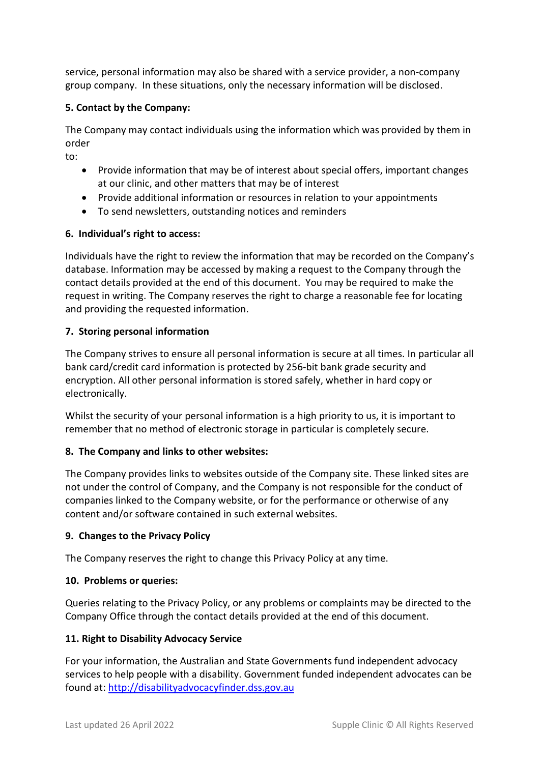service, personal information may also be shared with a service provider, a non-company group company. In these situations, only the necessary information will be disclosed.

## **5. Contact by the Company:**

The Company may contact individuals using the information which was provided by them in order

to:

- Provide information that may be of interest about special offers, important changes at our clinic, and other matters that may be of interest
- Provide additional information or resources in relation to your appointments
- To send newsletters, outstanding notices and reminders

## **6. Individual's right to access:**

Individuals have the right to review the information that may be recorded on the Company's database. Information may be accessed by making a request to the Company through the contact details provided at the end of this document. You may be required to make the request in writing. The Company reserves the right to charge a reasonable fee for locating and providing the requested information.

## **7. Storing personal information**

The Company strives to ensure all personal information is secure at all times. In particular all bank card/credit card information is protected by 256-bit bank grade security and encryption. All other personal information is stored safely, whether in hard copy or electronically.

Whilst the security of your personal information is a high priority to us, it is important to remember that no method of electronic storage in particular is completely secure.

## **8. The Company and links to other websites:**

The Company provides links to websites outside of the Company site. These linked sites are not under the control of Company, and the Company is not responsible for the conduct of companies linked to the Company website, or for the performance or otherwise of any content and/or software contained in such external websites.

## **9. Changes to the Privacy Policy**

The Company reserves the right to change this Privacy Policy at any time.

## **10. Problems or queries:**

Queries relating to the Privacy Policy, or any problems or complaints may be directed to the Company Office through the contact details provided at the end of this document.

## **11. Right to Disability Advocacy Service**

For your information, the Australian and State Governments fund independent advocacy services to help people with a disability. Government funded independent advocates can be found at: http://disabilityadvocacyfinder.dss.gov.au